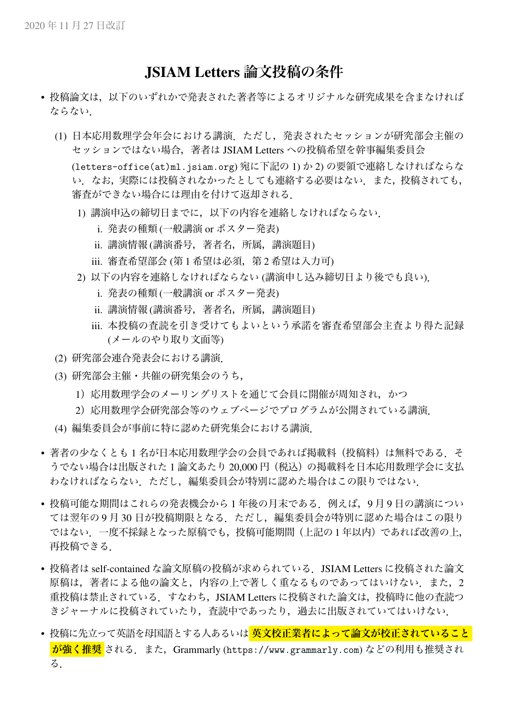## JSIAM Letters **論文投稿の条件**

- 投稿論文は,以下のいずれかで発表された著者等によるオリジナルな研究成果を含まなければ ならない.
	- (1) 日本応用数理学会年会における講演.ただし,発表されたセッションが研究部会主催の セッションではない場合,著者は JSIAM Letters への投稿希望を幹事編集委員会

(letters-office(at)ml.jsiam.org) 宛に下記の 1) か 2) の要領で連絡しなければならな い.なお,実際には投稿されなかったとしても連絡する必要はない.また,投稿されても, 審査ができない場合には理由を付けて返却される.

- 1) 講演申込の締切日までに,以下の内容を連絡しなければならない.
	- i. 発表の種類 (一般講演 or ポスター発表)
	- ii. 講演情報 (講演番号,著者名,所属,講演題目)
	- iii. 審査希望部会 (第1 希望は必須, 第2 希望は入力可)
- 2) 以下の内容を連絡しなければならない (講演申し込み締切日より後でも良い).
	- i. 発表の種類 (一般講演 or ポスター発表)
	- ii. 講演情報 (講演番号,著者名,所属,講演題目)
	- iii. 本投稿の査読を引き受けてもよいという承諾を審査希望部会主査より得た記録 (メールのやり取り文面等)
- (2) 研究部会連合発表会における講演.
- (3) 研究部会主催・共催の研究集会のうち,
	- 1) 応用数理学会のメーリングリストを通じて会員に開催が周知され、かつ
	- 2) 応用数理学会研究部会等のウェブページでプログラムが公開されている講演.
- (4) 編集委員会が事前に特に認めた研究集会における講演.
- 著者の少なくとも1名が日本応用数理学会の会員であれば掲載料(投稿料)は無料である. そ うでない場合は出版された1論文あたり 20,000円 (税込) の掲載料を日本応用数理学会に支払 わなければならない.ただし,編集委員会が特別に認めた場合はこの限りではない.
- 投稿可能な期間はこれらの発表機会から 1 年後の月末である.例えば,9 月 9 日の講演につい ては翌年の 9 月 30 日が投稿期限となる.ただし,編集委員会が特別に認めた場合はこの限り ではない.一度不採録となった原稿でも,投稿可能期間(上記の 1 年以内)であれば改善の上, 再投稿できる.
- 投稿者は self-contained な論文原稿の投稿が求められている.JSIAM Letters に投稿された論文 原稿は、著者による他の論文と、内容の上で著しく重なるものであってはいけない
また、2 重投稿は禁止されている. すなわち, JSIAM Letters に投稿された論文は, 投稿時に他の査読つ きジャーナルに投稿されていたり,査読中であったり,過去に出版されていてはいけない.
- 投稿に先立って英語を母国語とする人あるいは **英文校正業者によって論文が校正されていること** <mark>が強く推奨</mark> される. また, Grammarly (https://www.grammarly.com) などの利用も推奨され る.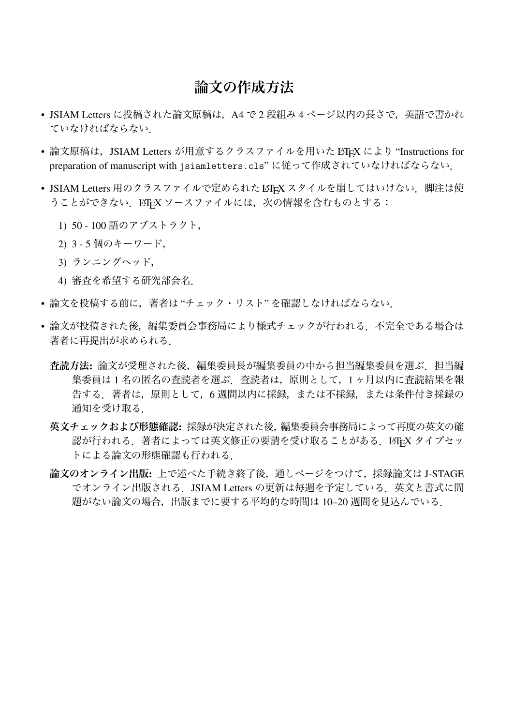## **論文の作成方法**

- JSIAM Letters に投稿された論文原稿は、A4 で2 段組み 4 ページ以内の長さで、英語で書かれ ていなければならない.
- 論文原稿は,JSIAM Letters が用意するクラスファイルを用いた LATEX により "Instructions for preparation of manuscript with jsiamletters.cls"に従って作成されていなければならない.
- JSIAM Letters 用のクラスファイルで定められた LATEX スタイルを崩してはいけない. 脚注は使 うことができない. LATEX ソースファイルには、次の情報を含むものとする:
	- 1) 50 100 語のアブストラクト,
	- 2) 3 5 個のキーワード,
	- 3) ランニングヘッド,
	- 4) 審査を希望する研究部会名.
- 論文を投稿する前に,著者は "チェック・リスト" を確認しなければならない.
- 論文が投稿された後,編集委員会事務局により様式チェックが行われる.不完全である場合は 著者に再提出が求められる.
	- **査読方法**: 論文が受理された後,編集委員長が編集委員の中から担当編集委員を選ぶ.担当編 集委員は 1 名の匿名の査読者を選ぶ.査読者は,原則として,1 ヶ月以内に査読結果を報 告する.著者は,原則として,6 週間以内に採録,または不採録,または条件付き採録の 通知を受け取る.
	- **英文チェックおよび形態確認**: 採録が決定された後,編集委員会事務局によって再度の英文の確 認が行われる. 著者によっては英文修正の要請を受け取ることがある. LATEX タイプセッ トによる論文の形態確認も行われる.
	- **論文のオンライン出版**: 上で述べた手続き終了後,通しページをつけて,採録論文は J-STAGE でオンライン出版される.JSIAM Letters の更新は毎週を予定している.英文と書式に問 題がない論文の場合,出版までに要する平均的な時間は 10–20 週間を見込んでいる.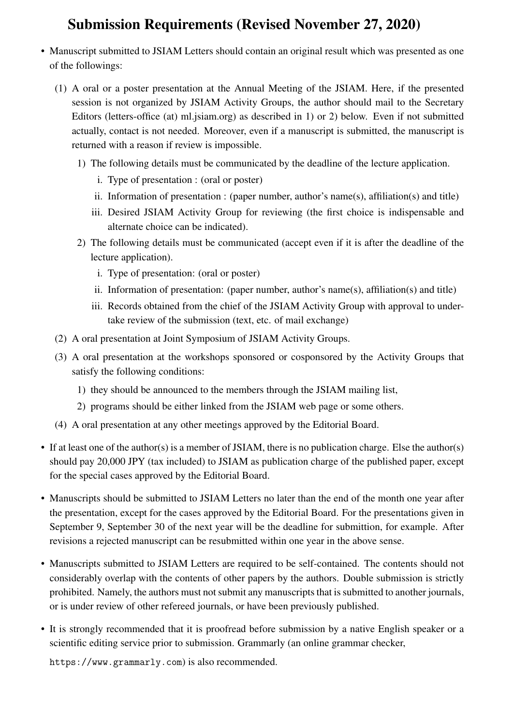## Submission Requirements (Revised November 27, 2020)

- Manuscript submitted to JSIAM Letters should contain an original result which was presented as one of the followings:
	- (1) A oral or a poster presentation at the Annual Meeting of the JSIAM. Here, if the presented session is not organized by JSIAM Activity Groups, the author should mail to the Secretary Editors (letters-office (at) ml.jsiam.org) as described in 1) or 2) below. Even if not submitted actually, contact is not needed. Moreover, even if a manuscript is submitted, the manuscript is returned with a reason if review is impossible.
		- 1) The following details must be communicated by the deadline of the lecture application.
			- i. Type of presentation : (oral or poster)
			- ii. Information of presentation : (paper number, author's name(s), affiliation(s) and title)
			- iii. Desired JSIAM Activity Group for reviewing (the first choice is indispensable and alternate choice can be indicated).
		- 2) The following details must be communicated (accept even if it is after the deadline of the lecture application).
			- i. Type of presentation: (oral or poster)
			- ii. Information of presentation: (paper number, author's name(s), affiliation(s) and title)
			- iii. Records obtained from the chief of the JSIAM Activity Group with approval to undertake review of the submission (text, etc. of mail exchange)
	- (2) A oral presentation at Joint Symposium of JSIAM Activity Groups.
	- (3) A oral presentation at the workshops sponsored or cosponsored by the Activity Groups that satisfy the following conditions:
		- 1) they should be announced to the members through the JSIAM mailing list,
		- 2) programs should be either linked from the JSIAM web page or some others.
	- (4) A oral presentation at any other meetings approved by the Editorial Board.
- If at least one of the author(s) is a member of JSIAM, there is no publication charge. Else the author(s) should pay 20,000 JPY (tax included) to JSIAM as publication charge of the published paper, except for the special cases approved by the Editorial Board.
- Manuscripts should be submitted to JSIAM Letters no later than the end of the month one year after the presentation, except for the cases approved by the Editorial Board. For the presentations given in September 9, September 30 of the next year will be the deadline for submittion, for example. After revisions a rejected manuscript can be resubmitted within one year in the above sense.
- Manuscripts submitted to JSIAM Letters are required to be self-contained. The contents should not considerably overlap with the contents of other papers by the authors. Double submission is strictly prohibited. Namely, the authors must not submit any manuscripts that is submitted to another journals, or is under review of other refereed journals, or have been previously published.
- It is strongly recommended that it is proofread before submission by a native English speaker or a scientific editing service prior to submission. Grammarly (an online grammar checker,

https://www.grammarly.com) is also recommended.